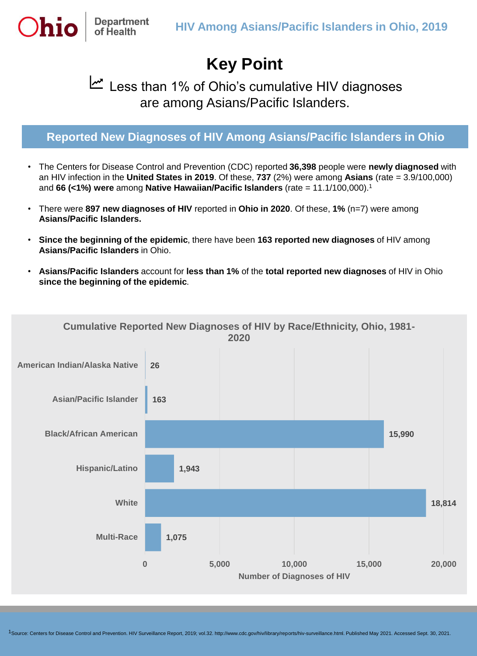## **Key Point**

## لصا Less than 1% of Ohio's cumulative HIV diagnoses are among Asians/Pacific Islanders.

## **Reported New Diagnoses of HIV Among Asians/Pacific Islanders in Ohio**

- The Centers for Disease Control and Prevention (CDC) reported **36,398** people were **newly diagnosed** with an HIV infection in the **United States in 2019**. Of these, **737** (2%) were among **Asians** (rate = 3.9/100,000) and **66 (<1%) were** among **Native Hawaiian/Pacific Islanders** (rate = 11.1/100,000).<sup>1</sup>
- There were **897 new diagnoses of HIV** reported in **Ohio in 2020**. Of these, **1%** (n=7) were among **Asians/Pacific Islanders.**
- **Since the beginning of the epidemic**, there have been **163 reported new diagnoses** of HIV among **Asians/Pacific Islanders** in Ohio.
- **Asians/Pacific Islanders** account for **less than 1%** of the **total reported new diagnoses** of HIV in Ohio **since the beginning of the epidemic**.